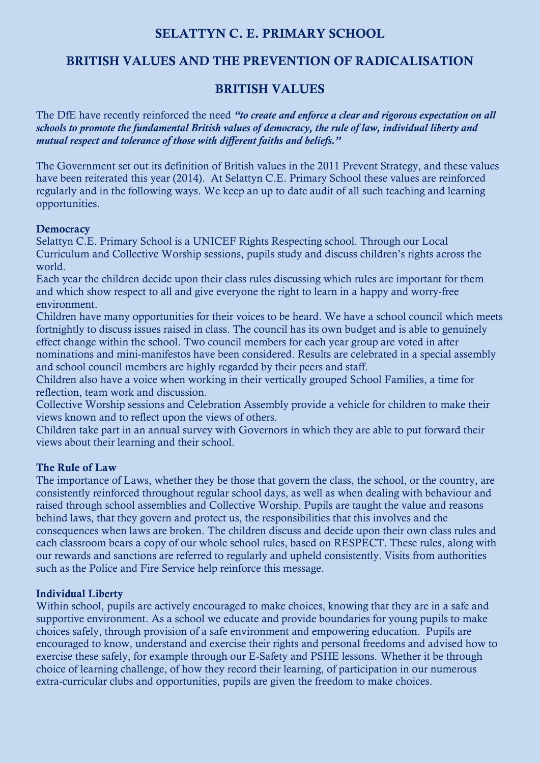## **SELATTYN C. E. PRIMARY SCHOOL**

## **BRITISH VALUES AND THE PREVENTION OF RADICALISATION**

## **BRITISH VALUES**

The DfE have recently reinforced the need *"to create and enforce a clear and rigorous expectation on all schools to promote the fundamental British values of democracy, the rule of law, individual liberty and mutual respect and tolerance of those with different faiths and beliefs."*

The Government set out its definition of British values in the 2011 Prevent Strategy, and these values have been reiterated this year (2014). At Selattyn C.E. Primary School these values are reinforced regularly and in the following ways. We keep an up to date audit of all such teaching and learning opportunities.

#### **Democracy**

Selattyn C.E. Primary School is a UNICEF Rights Respecting school. Through our Local Curriculum and Collective Worship sessions, pupils study and discuss children's rights across the world.

Each year the children decide upon their class rules discussing which rules are important for them and which show respect to all and give everyone the right to learn in a happy and worry-free environment.

Children have many opportunities for their voices to be heard. We have a school council which meets fortnightly to discuss issues raised in class. The council has its own budget and is able to genuinely effect change within the school. Two council members for each year group are voted in after nominations and mini-manifestos have been considered. Results are celebrated in a special assembly and school council members are highly regarded by their peers and staff.

Children also have a voice when working in their vertically grouped School Families, a time for reflection, team work and discussion.

Collective Worship sessions and Celebration Assembly provide a vehicle for children to make their views known and to reflect upon the views of others.

Children take part in an annual survey with Governors in which they are able to put forward their views about their learning and their school.

#### **The Rule of Law**

The importance of Laws, whether they be those that govern the class, the school, or the country, are consistently reinforced throughout regular school days, as well as when dealing with behaviour and raised through school assemblies and Collective Worship. Pupils are taught the value and reasons behind laws, that they govern and protect us, the responsibilities that this involves and the consequences when laws are broken. The children discuss and decide upon their own class rules and each classroom bears a copy of our whole school rules, based on RESPECT. These rules, along with our rewards and sanctions are referred to regularly and upheld consistently. Visits from authorities such as the Police and Fire Service help reinforce this message.

#### **Individual Liberty**

Within school, pupils are actively encouraged to make choices, knowing that they are in a safe and supportive environment. As a school we educate and provide boundaries for young pupils to make choices safely, through provision of a safe environment and empowering education. Pupils are encouraged to know, understand and exercise their rights and personal freedoms and advised how to exercise these safely, for example through our E-Safety and PSHE lessons. Whether it be through choice of learning challenge, of how they record their learning, of participation in our numerous extra-curricular clubs and opportunities, pupils are given the freedom to make choices.